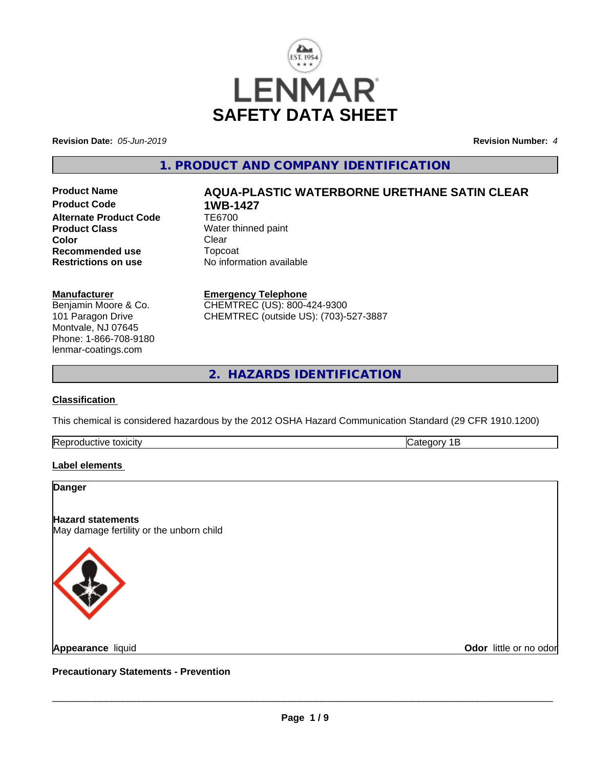

**Revision Date:** *05-Jun-2019* **Revision Number:** *4*

# **1. PRODUCT AND COMPANY IDENTIFICATION**

**Product Code 1WB-1427**<br>Alternate Product Code 166700 **Alternate Product Code Product Class**<br> **Color**<br>
Clear
Clear
Clear
Clear
Clear
Clear
Clear
Clear
Clear
Clear
Clear
Clear
Clear
Clear
Clear
Clear
Clear
Clear
Clear
Clear
Clear
Clear
Clear
Clear
Clear
Clear
Clear
Clear
Clear
Clear
Clear
Clear
Clea **Color** Clear Clear **Recommended use** Topcoat<br> **Restrictions on use** No inform

# **Product Name AQUA-PLASTIC WATERBORNE URETHANE SATIN CLEAR**

**Restrictions on use** No information available

#### **Manufacturer**

Benjamin Moore & Co. 101 Paragon Drive Montvale, NJ 07645 Phone: 1-866-708-9180 lenmar-coatings.com

# **Emergency Telephone**

CHEMTREC (US): 800-424-9300 CHEMTREC (outside US): (703)-527-3887

**2. HAZARDS IDENTIFICATION**

### **Classification**

This chemical is considered hazardous by the 2012 OSHA Hazard Communication Standard (29 CFR 1910.1200)

| -lR<br>TCITV |  |
|--------------|--|
|              |  |

#### **Label elements**

#### **Danger**

**Hazard statements**

May damage fertility or the unborn child



**Appearance** liquid

**Odor** little or no odor

**Precautionary Statements - Prevention**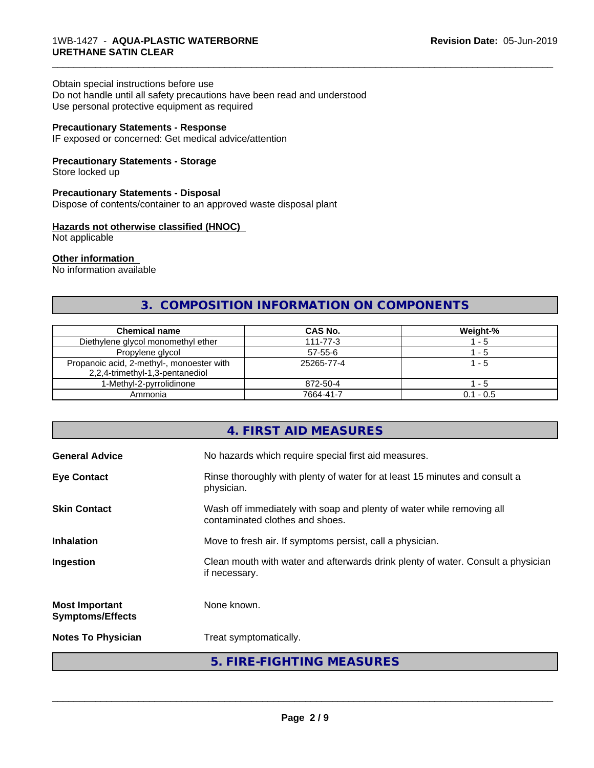#### Obtain special instructions before use

Do not handle until all safety precautions have been read and understood Use personal protective equipment as required

#### **Precautionary Statements - Response**

IF exposed or concerned: Get medical advice/attention

#### **Precautionary Statements - Storage**

Store locked up

#### **Precautionary Statements - Disposal**

Dispose of contents/container to an approved waste disposal plant

#### **Hazards not otherwise classified (HNOC)**

Not applicable

#### **Other information**

No information available

# **3. COMPOSITION INFORMATION ON COMPONENTS**

\_\_\_\_\_\_\_\_\_\_\_\_\_\_\_\_\_\_\_\_\_\_\_\_\_\_\_\_\_\_\_\_\_\_\_\_\_\_\_\_\_\_\_\_\_\_\_\_\_\_\_\_\_\_\_\_\_\_\_\_\_\_\_\_\_\_\_\_\_\_\_\_\_\_\_\_\_\_\_\_\_\_\_\_\_\_\_\_\_\_\_\_\_

| <b>Chemical name</b>                                                         | CAS No.        | Weight-%       |
|------------------------------------------------------------------------------|----------------|----------------|
| Diethylene glycol monomethyl ether                                           | $111 - 77 - 3$ | - 5            |
| Propylene glycol                                                             | $57 - 55 - 6$  | - 5            |
| Propanoic acid, 2-methyl-, monoester with<br>2,2,4-trimethyl-1,3-pentanediol | 25265-77-4     | $^{\circ}$ - 5 |
| 1-Methyl-2-pyrrolidinone                                                     | 872-50-4       | - 5            |
| Ammonia                                                                      | 7664-41-7      | $0.1 - 0.5$    |

# **4. FIRST AID MEASURES**

| <b>General Advice</b>                            | No hazards which require special first aid measures.                                                     |  |
|--------------------------------------------------|----------------------------------------------------------------------------------------------------------|--|
| <b>Eye Contact</b>                               | Rinse thoroughly with plenty of water for at least 15 minutes and consult a<br>physician.                |  |
| <b>Skin Contact</b>                              | Wash off immediately with soap and plenty of water while removing all<br>contaminated clothes and shoes. |  |
| <b>Inhalation</b>                                | Move to fresh air. If symptoms persist, call a physician.                                                |  |
| Ingestion                                        | Clean mouth with water and afterwards drink plenty of water. Consult a physician<br>if necessary.        |  |
| <b>Most Important</b><br><b>Symptoms/Effects</b> | None known.                                                                                              |  |
| <b>Notes To Physician</b>                        | Treat symptomatically.                                                                                   |  |
|                                                  | 5. FIRE-FIGHTING MEASURES                                                                                |  |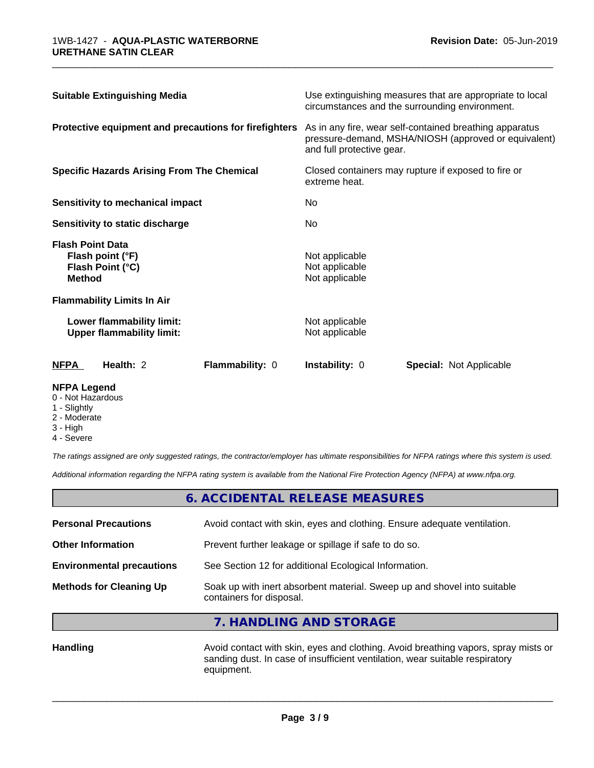| <b>Suitable Extinguishing Media</b>                                                                                      |                 |                                                                                                                                              | Use extinguishing measures that are appropriate to local<br>circumstances and the surrounding environment. |                                                                                  |  |                                                    |  |
|--------------------------------------------------------------------------------------------------------------------------|-----------------|----------------------------------------------------------------------------------------------------------------------------------------------|------------------------------------------------------------------------------------------------------------|----------------------------------------------------------------------------------|--|----------------------------------------------------|--|
| Protective equipment and precautions for firefighters                                                                    |                 | As in any fire, wear self-contained breathing apparatus<br>pressure-demand, MSHA/NIOSH (approved or equivalent)<br>and full protective gear. |                                                                                                            |                                                                                  |  |                                                    |  |
| <b>Specific Hazards Arising From The Chemical</b><br>Sensitivity to mechanical impact<br>Sensitivity to static discharge |                 | Closed containers may rupture if exposed to fire or<br>extreme heat.<br>No.<br>No.                                                           |                                                                                                            |                                                                                  |  |                                                    |  |
|                                                                                                                          |                 |                                                                                                                                              |                                                                                                            | <b>Flash Point Data</b><br>Flash point (°F)<br>Flash Point (°C)<br><b>Method</b> |  | Not applicable<br>Not applicable<br>Not applicable |  |
|                                                                                                                          |                 |                                                                                                                                              |                                                                                                            | <b>Flammability Limits In Air</b>                                                |  |                                                    |  |
| Lower flammability limit:<br><b>Upper flammability limit:</b>                                                            |                 | Not applicable<br>Not applicable                                                                                                             |                                                                                                            |                                                                                  |  |                                                    |  |
| <b>NFPA</b><br>Health: 2                                                                                                 | Flammability: 0 | <b>Instability: 0</b>                                                                                                                        | <b>Special: Not Applicable</b>                                                                             |                                                                                  |  |                                                    |  |

\_\_\_\_\_\_\_\_\_\_\_\_\_\_\_\_\_\_\_\_\_\_\_\_\_\_\_\_\_\_\_\_\_\_\_\_\_\_\_\_\_\_\_\_\_\_\_\_\_\_\_\_\_\_\_\_\_\_\_\_\_\_\_\_\_\_\_\_\_\_\_\_\_\_\_\_\_\_\_\_\_\_\_\_\_\_\_\_\_\_\_\_\_

#### **NFPA Legend**

- 0 Not Hazardous
- 1 Slightly
- 2 Moderate
- 3 High
- 4 Severe

*The ratings assigned are only suggested ratings, the contractor/employer has ultimate responsibilities for NFPA ratings where this system is used.*

*Additional information regarding the NFPA rating system is available from the National Fire Protection Agency (NFPA) at www.nfpa.org.*

|                                  | 6. ACCIDENTAL RELEASE MEASURES                                                                       |  |
|----------------------------------|------------------------------------------------------------------------------------------------------|--|
| <b>Personal Precautions</b>      | Avoid contact with skin, eyes and clothing. Ensure adequate ventilation.                             |  |
| <b>Other Information</b>         | Prevent further leakage or spillage if safe to do so.                                                |  |
| <b>Environmental precautions</b> | See Section 12 for additional Ecological Information.                                                |  |
| <b>Methods for Cleaning Up</b>   | Soak up with inert absorbent material. Sweep up and shovel into suitable<br>containers for disposal. |  |

**7. HANDLING AND STORAGE**

Handling **Handling Avoid contact with skin, eyes and clothing. Avoid breathing vapors, spray mists or** sanding dust. In case of insufficient ventilation, wear suitable respiratory equipment.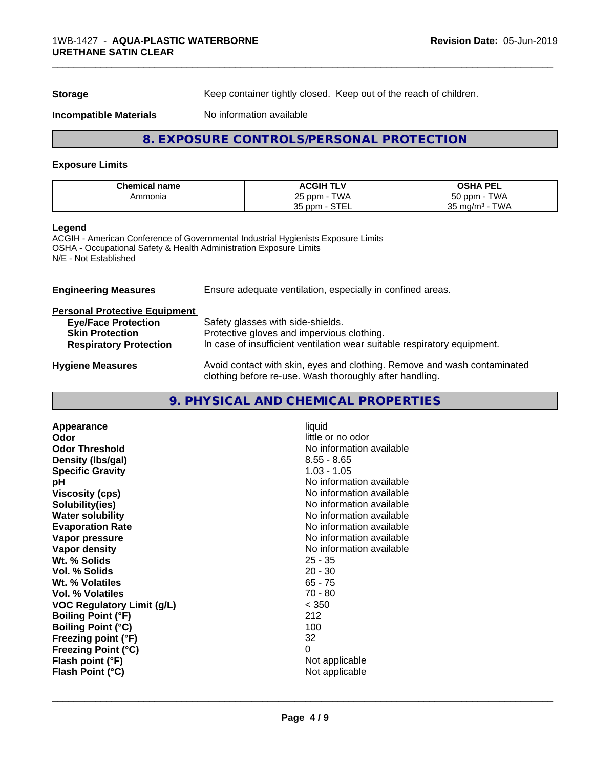**Storage** Keep container tightly closed. Keep out of the reach of children.

#### **Incompatible Materials** No information available

# **8. EXPOSURE CONTROLS/PERSONAL PROTECTION**

#### **Exposure Limits**

| <b>Chemical name</b> | <b>ACGIH</b><br><b>TLV</b>           | <b>OSHA PEL</b>                                 |
|----------------------|--------------------------------------|-------------------------------------------------|
| Ammonia              | <b>TWA</b><br>つに<br>nnm<br>∠∪        | $-\sim$<br>$T$ $M$<br>l nnm<br>эυ<br><b>VVM</b> |
|                      | $\sim$ TFI<br>つに<br>i ppm<br>ບບ<br>. | TWA<br>25<br>⊤ mg/m∘ -<br>JJ.                   |

#### **Legend**

ACGIH - American Conference of Governmental Industrial Hygienists Exposure Limits OSHA - Occupational Safety & Health Administration Exposure Limits N/E - Not Established

**Engineering Measures** Ensure adequate ventilation, especially in confined areas.

# **Personal Protective Equipment**

| <b>Eye/Face Protection</b>    | Safety glasses with side-shields.                                                                                                   |
|-------------------------------|-------------------------------------------------------------------------------------------------------------------------------------|
| <b>Skin Protection</b>        | Protective gloves and impervious clothing.                                                                                          |
| <b>Respiratory Protection</b> | In case of insufficient ventilation wear suitable respiratory equipment.                                                            |
| <b>Hygiene Measures</b>       | Avoid contact with skin, eyes and clothing. Remove and wash contaminated<br>clothing before re-use. Wash thoroughly after handling. |

# **9. PHYSICAL AND CHEMICAL PROPERTIES**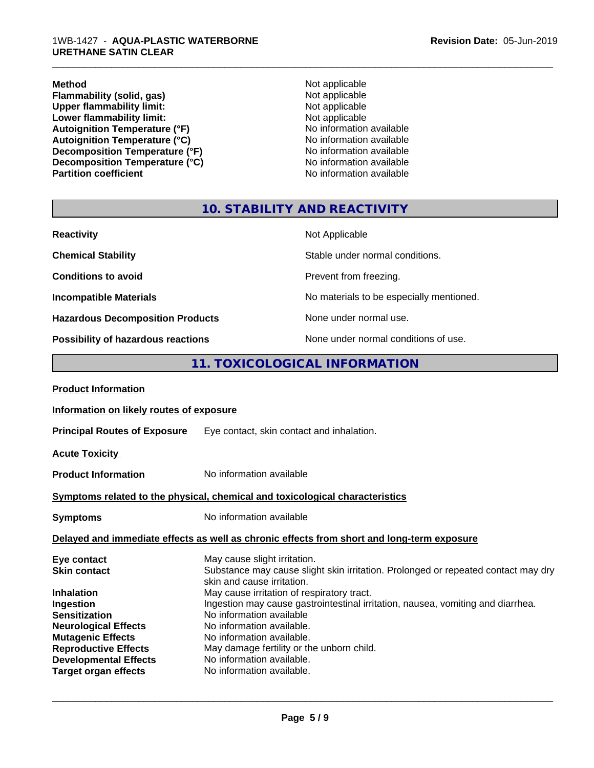**Method** Not applicable **Flammability (solid, gas)** Not applicable<br>
Upper flammability limit:<br>
Not applicable<br>
Not applicable **Upper flammability limit:**<br> **Lower flammability limit:**<br>
Not applicable<br>
Not applicable **Lower flammability limit:**<br> **Autoignition Temperature (°F)**<br>
Mo information available Autoignition Temperature (°F)<br>
Autoignition Temperature (°C)<br>
No information available Autoignition Temperature (°C)<br>
Decomposition Temperature (°F)<br>
No information available **Decomposition Temperature (°F)**<br> **Decomposition Temperature (°C)**<br>
No information available **Decomposition Temperature (°C)**<br>Partition coefficient

**No information available** 

\_\_\_\_\_\_\_\_\_\_\_\_\_\_\_\_\_\_\_\_\_\_\_\_\_\_\_\_\_\_\_\_\_\_\_\_\_\_\_\_\_\_\_\_\_\_\_\_\_\_\_\_\_\_\_\_\_\_\_\_\_\_\_\_\_\_\_\_\_\_\_\_\_\_\_\_\_\_\_\_\_\_\_\_\_\_\_\_\_\_\_\_\_

# **10. STABILITY AND REACTIVITY**

| <b>Reactivity</b>                       | Not Applicable                           |
|-----------------------------------------|------------------------------------------|
| <b>Chemical Stability</b>               | Stable under normal conditions.          |
| <b>Conditions to avoid</b>              | Prevent from freezing.                   |
| <b>Incompatible Materials</b>           | No materials to be especially mentioned. |
| <b>Hazardous Decomposition Products</b> | None under normal use.                   |
| Possibility of hazardous reactions      | None under normal conditions of use.     |

# **11. TOXICOLOGICAL INFORMATION**

| <b>Product Information</b>               |                                                                                                                 |  |  |
|------------------------------------------|-----------------------------------------------------------------------------------------------------------------|--|--|
| Information on likely routes of exposure |                                                                                                                 |  |  |
| <b>Principal Routes of Exposure</b>      | Eye contact, skin contact and inhalation.                                                                       |  |  |
| <b>Acute Toxicity</b>                    |                                                                                                                 |  |  |
| <b>Product Information</b>               | No information available                                                                                        |  |  |
|                                          | Symptoms related to the physical, chemical and toxicological characteristics                                    |  |  |
| <b>Symptoms</b>                          | No information available                                                                                        |  |  |
|                                          | Delayed and immediate effects as well as chronic effects from short and long-term exposure                      |  |  |
| Eye contact                              | May cause slight irritation.                                                                                    |  |  |
| <b>Skin contact</b>                      | Substance may cause slight skin irritation. Prolonged or repeated contact may dry<br>skin and cause irritation. |  |  |
| <b>Inhalation</b>                        | May cause irritation of respiratory tract.                                                                      |  |  |
| Ingestion                                | Ingestion may cause gastrointestinal irritation, nausea, vomiting and diarrhea.                                 |  |  |
| <b>Sensitization</b>                     | No information available                                                                                        |  |  |
| <b>Neurological Effects</b>              | No information available.                                                                                       |  |  |
| <b>Mutagenic Effects</b>                 | No information available.                                                                                       |  |  |
| <b>Reproductive Effects</b>              | May damage fertility or the unborn child.                                                                       |  |  |
| <b>Developmental Effects</b>             | No information available.                                                                                       |  |  |
| <b>Target organ effects</b>              | No information available.                                                                                       |  |  |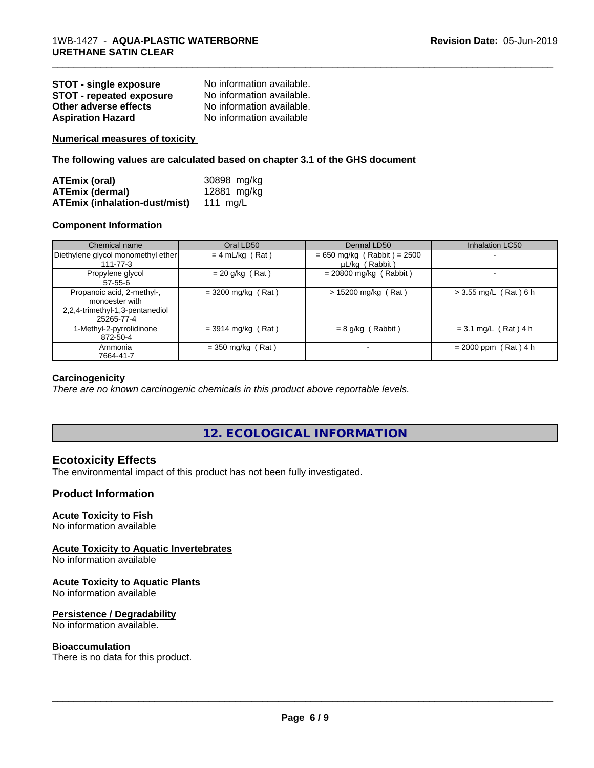| <b>STOT - single exposure</b>   | No information available. |
|---------------------------------|---------------------------|
| <b>STOT - repeated exposure</b> | No information available. |
| Other adverse effects           | No information available. |
| <b>Aspiration Hazard</b>        | No information available  |

**Numerical measures of toxicity**

**The following values are calculated based on chapter 3.1 of the GHS document**

| ATEmix (oral)                                 | 30898 mg/kg |
|-----------------------------------------------|-------------|
| <b>ATEmix (dermal)</b>                        | 12881 mg/kg |
| <b>ATEmix (inhalation-dust/mist)</b> 111 mg/L |             |

#### **Component Information**

| Chemical name                                                                                 | Oral LD50            | Dermal LD50                                     | Inhalation LC50          |
|-----------------------------------------------------------------------------------------------|----------------------|-------------------------------------------------|--------------------------|
| Diethylene glycol monomethyl ether<br>$111 - 77 - 3$                                          | $= 4$ mL/kg (Rat)    | $= 650$ mg/kg (Rabbit) = 2500<br>µL/kg (Rabbit) | $\overline{\phantom{0}}$ |
| Propylene glycol<br>$57 - 55 - 6$                                                             | $= 20$ g/kg (Rat)    | $= 20800$ mg/kg (Rabbit)                        |                          |
| Propanoic acid, 2-methyl-,<br>monoester with<br>2,2,4-trimethyl-1,3-pentanediol<br>25265-77-4 | $=$ 3200 mg/kg (Rat) | $> 15200$ mg/kg (Rat)                           | $> 3.55$ mg/L (Rat) 6 h  |
| 1-Methyl-2-pyrrolidinone<br>872-50-4                                                          | $=$ 3914 mg/kg (Rat) | $= 8$ g/kg (Rabbit)                             | $= 3.1$ mg/L (Rat) 4 h   |
| Ammonia<br>7664-41-7                                                                          | $=$ 350 mg/kg (Rat)  | $\blacksquare$                                  | $= 2000$ ppm (Rat) 4 h   |

\_\_\_\_\_\_\_\_\_\_\_\_\_\_\_\_\_\_\_\_\_\_\_\_\_\_\_\_\_\_\_\_\_\_\_\_\_\_\_\_\_\_\_\_\_\_\_\_\_\_\_\_\_\_\_\_\_\_\_\_\_\_\_\_\_\_\_\_\_\_\_\_\_\_\_\_\_\_\_\_\_\_\_\_\_\_\_\_\_\_\_\_\_

#### **Carcinogenicity**

*There are no known carcinogenic chemicals in this product above reportable levels.*

**12. ECOLOGICAL INFORMATION**

## **Ecotoxicity Effects**

The environmental impact of this product has not been fully investigated.

### **Product Information**

#### **Acute Toxicity to Fish**

No information available

#### **Acute Toxicity to Aquatic Invertebrates**

No information available

#### **Acute Toxicity to Aquatic Plants**

No information available

#### **Persistence / Degradability**

No information available.

#### **Bioaccumulation**

There is no data for this product.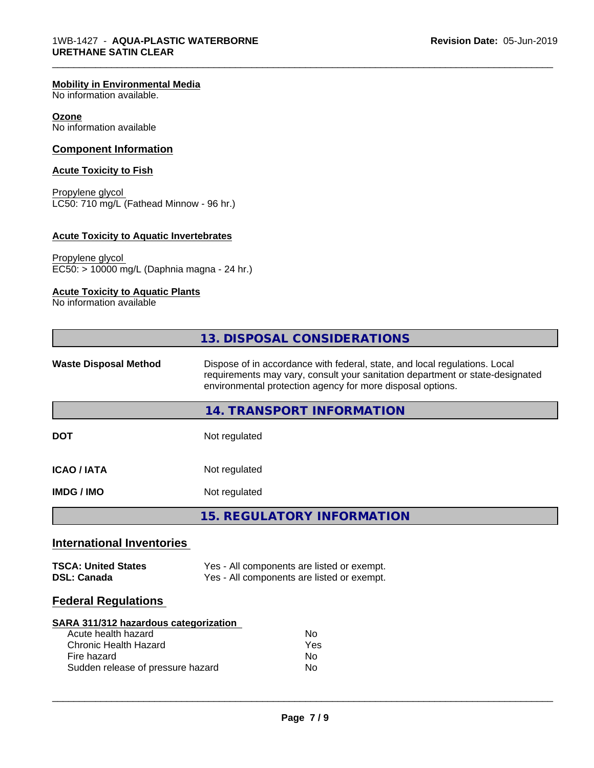#### **Mobility in Environmental Media**

No information available.

#### **Ozone**

No information available

#### **Component Information**

#### **Acute Toxicity to Fish**

Propylene glycol LC50: 710 mg/L (Fathead Minnow - 96 hr.)

#### **Acute Toxicity to Aquatic Invertebrates**

Propylene glycol EC50: > 10000 mg/L (Daphnia magna - 24 hr.)

# **Acute Toxicity to Aquatic Plants**

No information available

|                                                                                                                                                  | 13. DISPOSAL CONSIDERATIONS                                                                                                                                                                                               |  |  |
|--------------------------------------------------------------------------------------------------------------------------------------------------|---------------------------------------------------------------------------------------------------------------------------------------------------------------------------------------------------------------------------|--|--|
| <b>Waste Disposal Method</b>                                                                                                                     | Dispose of in accordance with federal, state, and local regulations. Local<br>requirements may vary, consult your sanitation department or state-designated<br>environmental protection agency for more disposal options. |  |  |
|                                                                                                                                                  | 14. TRANSPORT INFORMATION                                                                                                                                                                                                 |  |  |
| <b>DOT</b>                                                                                                                                       | Not regulated                                                                                                                                                                                                             |  |  |
| <b>ICAO/IATA</b>                                                                                                                                 | Not regulated                                                                                                                                                                                                             |  |  |
| <b>IMDG / IMO</b>                                                                                                                                | Not regulated                                                                                                                                                                                                             |  |  |
|                                                                                                                                                  | <b>15. REGULATORY INFORMATION</b>                                                                                                                                                                                         |  |  |
| <b>International Inventories</b>                                                                                                                 |                                                                                                                                                                                                                           |  |  |
| <b>TSCA: United States</b><br><b>DSL: Canada</b>                                                                                                 | Yes - All components are listed or exempt.<br>Yes - All components are listed or exempt.                                                                                                                                  |  |  |
| <b>Federal Regulations</b>                                                                                                                       |                                                                                                                                                                                                                           |  |  |
| SARA 311/312 hazardous categorization<br>Acute health hazard<br><b>Chronic Health Hazard</b><br>Fire hazard<br>Sudden release of pressure hazard | <b>No</b><br>Yes<br>No<br>N <sub>o</sub>                                                                                                                                                                                  |  |  |

\_\_\_\_\_\_\_\_\_\_\_\_\_\_\_\_\_\_\_\_\_\_\_\_\_\_\_\_\_\_\_\_\_\_\_\_\_\_\_\_\_\_\_\_\_\_\_\_\_\_\_\_\_\_\_\_\_\_\_\_\_\_\_\_\_\_\_\_\_\_\_\_\_\_\_\_\_\_\_\_\_\_\_\_\_\_\_\_\_\_\_\_\_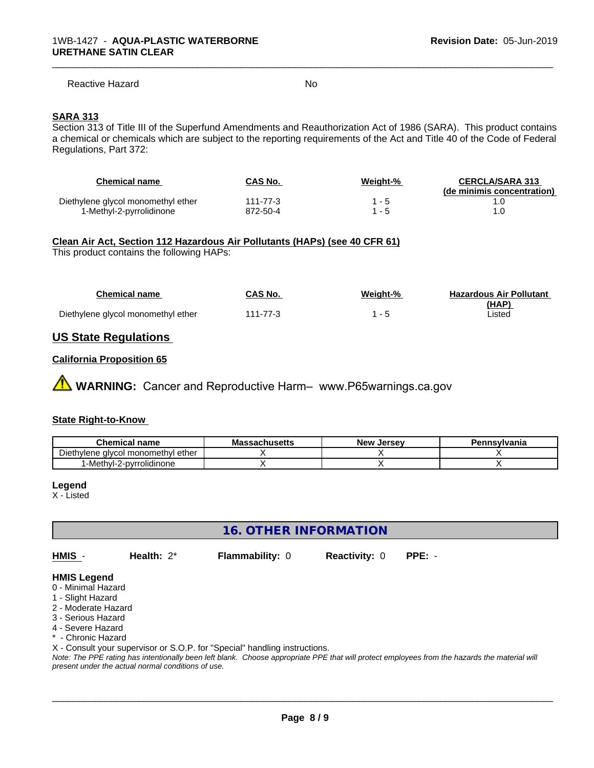#### Reactive Hazard No. No. 2014

\_\_\_\_\_\_\_\_\_\_\_\_\_\_\_\_\_\_\_\_\_\_\_\_\_\_\_\_\_\_\_\_\_\_\_\_\_\_\_\_\_\_\_\_\_\_\_\_\_\_\_\_\_\_\_\_\_\_\_\_\_\_\_\_\_\_\_\_\_\_\_\_\_\_\_\_\_\_\_\_\_\_\_\_\_\_\_\_\_\_\_\_\_

#### **SARA 313**

Section 313 of Title III of the Superfund Amendments and Reauthorization Act of 1986 (SARA). This product contains a chemical or chemicals which are subject to the reporting requirements of the Act and Title 40 of the Code of Federal Regulations, Part 372:

| Chemical name                      | CAS No.  | Weight-% | <b>CERCLA/SARA 313</b><br>(de minimis concentration) |
|------------------------------------|----------|----------|------------------------------------------------------|
| Diethylene glycol monomethyl ether | 111-77-3 |          |                                                      |
| 1-Methyl-2-pyrrolidinone           | 872-50-4 |          |                                                      |

#### **Clean Air Act,Section 112 Hazardous Air Pollutants (HAPs) (see 40 CFR 61)**

This product contains the following HAPs:

| <b>Chemical name</b>               | CAS No.  | Weight-% | <b>Hazardous Air Pollutant</b> |
|------------------------------------|----------|----------|--------------------------------|
|                                    |          |          | (HAP)                          |
| Diethylene glycol monomethyl ether | 111-77-3 |          | _isted                         |

### **US State Regulations**

#### **California Proposition 65**

**A** WARNING: Cancer and Reproductive Harm– www.P65warnings.ca.gov

#### **State Right-to-Know**

| <b>Chemical name</b>                       | <b>Massachusetts</b> | . Jersev<br>New | Pennsylvania |
|--------------------------------------------|----------------------|-----------------|--------------|
| -<br>Diethylene glycol monomethyl<br>ether |                      |                 |              |
| -Methyl-2-pyrrolidinone                    |                      |                 |              |

#### **Legend**

X - Listed

**16. OTHER INFORMATION**

**HMIS** - **Health:** 2\* **Flammability:** 0 **Reactivity:** 0 **PPE:** -

 $\overline{\phantom{a}}$  ,  $\overline{\phantom{a}}$  ,  $\overline{\phantom{a}}$  ,  $\overline{\phantom{a}}$  ,  $\overline{\phantom{a}}$  ,  $\overline{\phantom{a}}$  ,  $\overline{\phantom{a}}$  ,  $\overline{\phantom{a}}$  ,  $\overline{\phantom{a}}$  ,  $\overline{\phantom{a}}$  ,  $\overline{\phantom{a}}$  ,  $\overline{\phantom{a}}$  ,  $\overline{\phantom{a}}$  ,  $\overline{\phantom{a}}$  ,  $\overline{\phantom{a}}$  ,  $\overline{\phantom{a}}$ 

#### **HMIS Legend**

- 0 Minimal Hazard
- 1 Slight Hazard
- 2 Moderate Hazard
- 3 Serious Hazard
- 4 Severe Hazard
- \* Chronic Hazard

X - Consult your supervisor or S.O.P. for "Special" handling instructions.

*Note: The PPE rating has intentionally been left blank. Choose appropriate PPE that will protect employees from the hazards the material will present under the actual normal conditions of use.*